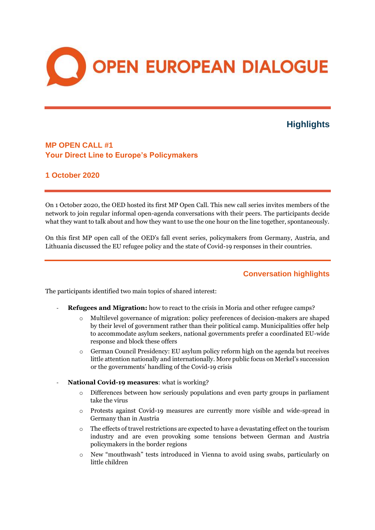

# **Highlights**

## **MP OPEN CALL #1 Your Direct Line to Europe's Policymakers**

### **1 October 2020**

On 1 October 2020, the OED hosted its first MP Open Call. This new call series invites members of the network to join regular informal open-agenda conversations with their peers. The participants decide what they want to talk about and how they want to use the one hour on the line together, spontaneously.

On this first MP open call of the OED's fall event series, policymakers from Germany, Austria, and Lithuania discussed the EU refugee policy and the state of Covid-19 responses in their countries.

### **Conversation highlights**

The participants identified two main topics of shared interest:

- **Refugees and Migration:** how to react to the crisis in Moria and other refugee camps?
	- o Multilevel governance of migration: policy preferences of decision-makers are shaped by their level of government rather than their political camp. Municipalities offer help to accommodate asylum seekers, national governments prefer a coordinated EU-wide response and block these offers
	- o German Council Presidency: EU asylum policy reform high on the agenda but receives little attention nationally and internationally. More public focus on Merkel's succession or the governments' handling of the Covid-19 crisis
- **National Covid-19 measures**: what is working?
	- o Differences between how seriously populations and even party groups in parliament take the virus
	- o Protests against Covid-19 measures are currently more visible and wide-spread in Germany than in Austria
	- o The effects of travel restrictions are expected to have a devastating effect on the tourism industry and are even provoking some tensions between German and Austria policymakers in the border regions
	- o New "mouthwash" tests introduced in Vienna to avoid using swabs, particularly on little children